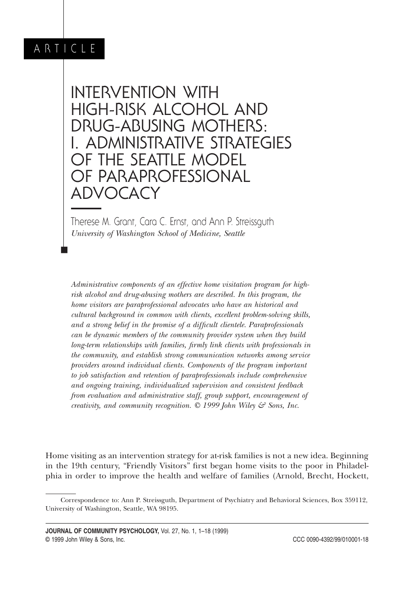# ARTICLE

■

INTERVENTION WITH H-RISK ALCOHOL AND DRUG-ABUSING MOTHERS: NISTRATIVE STRATEGIES SEATTLE MO APROFESSIONAL ADVOCACY

Therese M. Grant, Cara C. Ernst, and Ann P. Streissguth *University of Washington School of Medicine, Seattle*

*Administrative components of an effective home visitation program for highrisk alcohol and drug-abusing mothers are described. In this program, the home visitors are paraprofessional advocates who have an historical and cultural background in common with clients, excellent problem-solving skills, and a strong belief in the promise of a difficult clientele. Paraprofessionals can be dynamic members of the community provider system when they build long-term relationships with families, firmly link clients with professionals in the community, and establish strong communication networks among service providers around individual clients. Components of the program important to job satisfaction and retention of paraprofessionals include comprehensive and ongoing training, individualized supervision and consistent feedback from evaluation and administrative staff, group support, encouragement of creativity, and community recognition. © 1999 John Wiley & Sons, Inc.*

Home visiting as an intervention strategy for at-risk families is not a new idea. Beginning in the 19th century, "Friendly Visitors" first began home visits to the poor in Philadelphia in order to improve the health and welfare of families (Arnold, Brecht, Hockett,

**JOURNAL OF COMMUNITY PSYCHOLOGY,** Vol. 27, No. 1, 1–18 (1999) © 1999 John Wiley & Sons, Inc. CCC 0090-4392/99/010001-18

Correspondence to: Ann P. Streissguth, Department of Psychiatry and Behavioral Sciences, Box 359112, University of Washington, Seattle, WA 98195.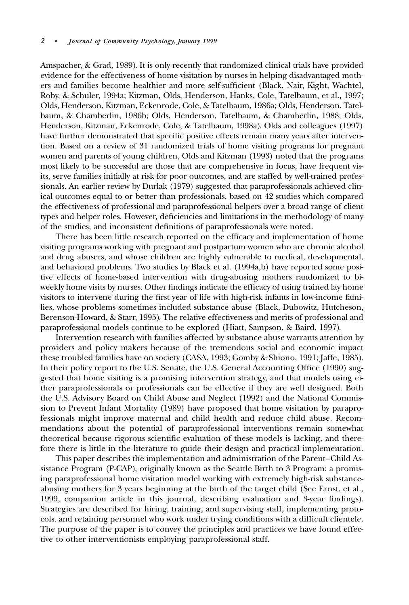Amspacher, & Grad, 1989). It is only recently that randomized clinical trials have provided evidence for the effectiveness of home visitation by nurses in helping disadvantaged mothers and families become healthier and more self-sufficient (Black, Nair, Kight, Wachtel, Roby, & Schuler, 1994a; Kitzman, Olds, Henderson, Hanks, Cole, Tatelbaum, et al., 1997; Olds, Henderson, Kitzman, Eckenrode, Cole, & Tatelbaum, 1986a; Olds, Henderson, Tatelbaum, & Chamberlin, 1986b; Olds, Henderson, Tatelbaum, & Chamberlin, 1988; Olds, Henderson, Kitzman, Eckenrode, Cole, & Tatelbaum, 1998a). Olds and colleagues (1997) have further demonstrated that specific positive effects remain many years after intervention. Based on a review of 31 randomized trials of home visiting programs for pregnant women and parents of young children, Olds and Kitzman (1993) noted that the programs most likely to be successful are those that are comprehensive in focus, have frequent visits, serve families initially at risk for poor outcomes, and are staffed by well-trained professionals. An earlier review by Durlak (1979) suggested that paraprofessionals achieved clinical outcomes equal to or better than professionals, based on 42 studies which compared the effectiveness of professional and paraprofessional helpers over a broad range of client types and helper roles. However, deficiencies and limitations in the methodology of many of the studies, and inconsistent definitions of paraprofessionals were noted.

There has been little research reported on the efficacy and implementation of home visiting programs working with pregnant and postpartum women who are chronic alcohol and drug abusers, and whose children are highly vulnerable to medical, developmental, and behavioral problems. Two studies by Black et al. (1994a,b) have reported some positive effects of home-based intervention with drug-abusing mothers randomized to biweekly home visits by nurses. Other findings indicate the efficacy of using trained lay home visitors to intervene during the first year of life with high-risk infants in low-income families, whose problems sometimes included substance abuse (Black, Dubowitz, Hutcheson, Berenson-Howard, & Starr, 1995). The relative effectiveness and merits of professional and paraprofessional models continue to be explored (Hiatt, Sampson, & Baird, 1997).

Intervention research with families affected by substance abuse warrants attention by providers and policy makers because of the tremendous social and economic impact these troubled families have on society (CASA, 1993; Gomby & Shiono, 1991; Jaffe, 1985). In their policy report to the U.S. Senate, the U.S. General Accounting Office (1990) suggested that home visiting is a promising intervention strategy, and that models using either paraprofessionals or professionals can be effective if they are well designed. Both the U.S. Advisory Board on Child Abuse and Neglect (1992) and the National Commission to Prevent Infant Mortality (1989) have proposed that home visitation by paraprofessionals might improve maternal and child health and reduce child abuse. Recommendations about the potential of paraprofessional interventions remain somewhat theoretical because rigorous scientific evaluation of these models is lacking, and therefore there is little in the literature to guide their design and practical implementation.

This paper describes the implementation and administration of the Parent–Child Assistance Program (P-CAP), originally known as the Seattle Birth to 3 Program: a promising paraprofessional home visitation model working with extremely high-risk substanceabusing mothers for 3 years beginning at the birth of the target child (See Ernst, et al., 1999, companion article in this journal, describing evaluation and 3-year findings). Strategies are described for hiring, training, and supervising staff, implementing protocols, and retaining personnel who work under trying conditions with a difficult clientele. The purpose of the paper is to convey the principles and practices we have found effective to other interventionists employing paraprofessional staff.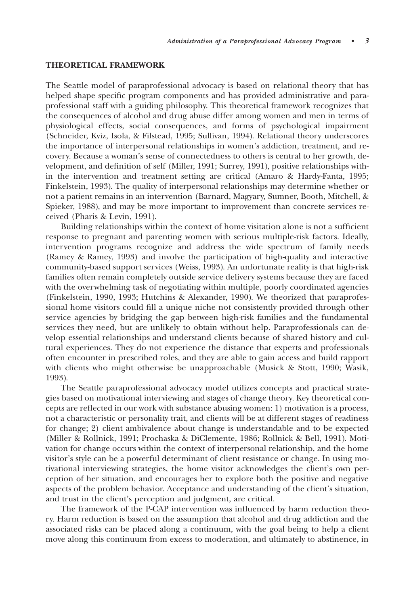### **THEORETICAL FRAMEWORK**

The Seattle model of paraprofessional advocacy is based on relational theory that has helped shape specific program components and has provided administrative and paraprofessional staff with a guiding philosophy. This theoretical framework recognizes that the consequences of alcohol and drug abuse differ among women and men in terms of physiological effects, social consequences, and forms of psychological impairment (Schneider, Kviz, Isola, & Filstead, 1995; Sullivan, 1994). Relational theory underscores the importance of interpersonal relationships in women's addiction, treatment, and recovery. Because a woman's sense of connectedness to others is central to her growth, development, and definition of self (Miller, 1991; Surrey, 1991), positive relationships within the intervention and treatment setting are critical (Amaro & Hardy-Fanta, 1995; Finkelstein, 1993). The quality of interpersonal relationships may determine whether or not a patient remains in an intervention (Barnard, Magyary, Sumner, Booth, Mitchell, & Spieker, 1988), and may be more important to improvement than concrete services received (Pharis & Levin, 1991).

Building relationships within the context of home visitation alone is not a sufficient response to pregnant and parenting women with serious multiple-risk factors. Ideally, intervention programs recognize and address the wide spectrum of family needs (Ramey & Ramey, 1993) and involve the participation of high-quality and interactive community-based support services (Weiss, 1993). An unfortunate reality is that high-risk families often remain completely outside service delivery systems because they are faced with the overwhelming task of negotiating within multiple, poorly coordinated agencies (Finkelstein, 1990, 1993; Hutchins & Alexander, 1990). We theorized that paraprofessional home visitors could fill a unique niche not consistently provided through other service agencies by bridging the gap between high-risk families and the fundamental services they need, but are unlikely to obtain without help. Paraprofessionals can develop essential relationships and understand clients because of shared history and cultural experiences. They do not experience the distance that experts and professionals often encounter in prescribed roles, and they are able to gain access and build rapport with clients who might otherwise be unapproachable (Musick & Stott, 1990; Wasik, 1993).

The Seattle paraprofessional advocacy model utilizes concepts and practical strategies based on motivational interviewing and stages of change theory. Key theoretical concepts are reflected in our work with substance abusing women: 1) motivation is a process, not a characteristic or personality trait, and clients will be at different stages of readiness for change; 2) client ambivalence about change is understandable and to be expected (Miller & Rollnick, 1991; Prochaska & DiClemente, 1986; Rollnick & Bell, 1991). Motivation for change occurs within the context of interpersonal relationship, and the home visitor's style can be a powerful determinant of client resistance or change. In using motivational interviewing strategies, the home visitor acknowledges the client's own perception of her situation, and encourages her to explore both the positive and negative aspects of the problem behavior. Acceptance and understanding of the client's situation, and trust in the client's perception and judgment, are critical.

The framework of the P-CAP intervention was influenced by harm reduction theory. Harm reduction is based on the assumption that alcohol and drug addiction and the associated risks can be placed along a continuum, with the goal being to help a client move along this continuum from excess to moderation, and ultimately to abstinence, in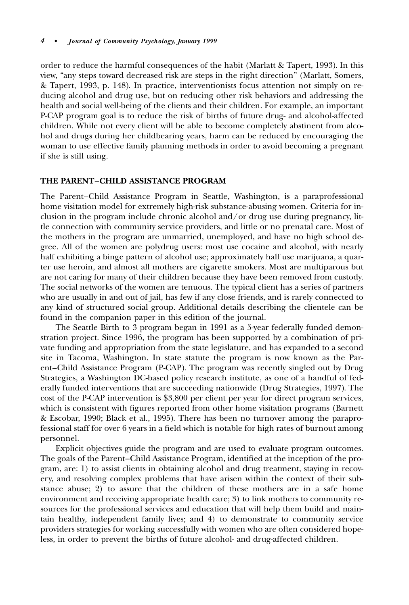order to reduce the harmful consequences of the habit (Marlatt & Tapert, 1993). In this view, "any steps toward decreased risk are steps in the right direction" (Marlatt, Somers, & Tapert, 1993, p. 148). In practice, interventionists focus attention not simply on reducing alcohol and drug use, but on reducing other risk behaviors and addressing the health and social well-being of the clients and their children. For example, an important P-CAP program goal is to reduce the risk of births of future drug- and alcohol-affected children. While not every client will be able to become completely abstinent from alcohol and drugs during her childbearing years, harm can be reduced by encouraging the woman to use effective family planning methods in order to avoid becoming a pregnant if she is still using.

#### **THE PARENT–CHILD ASSISTANCE PROGRAM**

The Parent–Child Assistance Program in Seattle, Washington, is a paraprofessional home visitation model for extremely high-risk substance-abusing women. Criteria for inclusion in the program include chronic alcohol and/or drug use during pregnancy, little connection with community service providers, and little or no prenatal care. Most of the mothers in the program are unmarried, unemployed, and have no high school degree. All of the women are polydrug users: most use cocaine and alcohol, with nearly half exhibiting a binge pattern of alcohol use; approximately half use marijuana, a quarter use heroin, and almost all mothers are cigarette smokers. Most are multiparous but are not caring for many of their children because they have been removed from custody. The social networks of the women are tenuous. The typical client has a series of partners who are usually in and out of jail, has few if any close friends, and is rarely connected to any kind of structured social group. Additional details describing the clientele can be found in the companion paper in this edition of the journal.

The Seattle Birth to 3 program began in 1991 as a 5-year federally funded demonstration project. Since 1996, the program has been supported by a combination of private funding and appropriation from the state legislature, and has expanded to a second site in Tacoma, Washington. In state statute the program is now known as the Parent–Child Assistance Program (P-CAP). The program was recently singled out by Drug Strategies, a Washington DC-based policy research institute, as one of a handful of federally funded interventions that are succeeding nationwide (Drug Strategies, 1997). The cost of the P-CAP intervention is \$3,800 per client per year for direct program services, which is consistent with figures reported from other home visitation programs (Barnett & Escobar, 1990; Black et al., 1995). There has been no turnover among the paraprofessional staff for over 6 years in a field which is notable for high rates of burnout among personnel.

Explicit objectives guide the program and are used to evaluate program outcomes. The goals of the Parent–Child Assistance Program, identified at the inception of the program, are: 1) to assist clients in obtaining alcohol and drug treatment, staying in recovery, and resolving complex problems that have arisen within the context of their substance abuse; 2) to assure that the children of these mothers are in a safe home environment and receiving appropriate health care; 3) to link mothers to community resources for the professional services and education that will help them build and maintain healthy, independent family lives; and 4) to demonstrate to community service providers strategies for working successfully with women who are often considered hopeless, in order to prevent the births of future alcohol- and drug-affected children.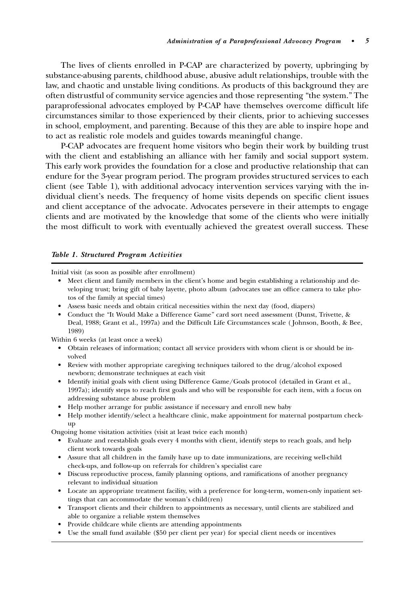The lives of clients enrolled in P-CAP are characterized by poverty, upbringing by substance-abusing parents, childhood abuse, abusive adult relationships, trouble with the law, and chaotic and unstable living conditions. As products of this background they are often distrustful of community service agencies and those representing "the system." The paraprofessional advocates employed by P-CAP have themselves overcome difficult life circumstances similar to those experienced by their clients, prior to achieving successes in school, employment, and parenting. Because of this they are able to inspire hope and to act as realistic role models and guides towards meaningful change.

P-CAP advocates are frequent home visitors who begin their work by building trust with the client and establishing an alliance with her family and social support system. This early work provides the foundation for a close and productive relationship that can endure for the 3-year program period. The program provides structured services to each client (see Table 1), with additional advocacy intervention services varying with the individual client's needs. The frequency of home visits depends on specific client issues and client acceptance of the advocate. Advocates persevere in their attempts to engage clients and are motivated by the knowledge that some of the clients who were initially the most difficult to work with eventually achieved the greatest overall success. These

#### *Table 1. Structured Program Activities*

Initial visit (as soon as possible after enrollment)

- Meet client and family members in the client's home and begin establishing a relationship and developing trust; bring gift of baby layette, photo album (advocates use an office camera to take photos of the family at special times)
- Assess basic needs and obtain critical necessities within the next day (food, diapers)
- Conduct the "It Would Make a Difference Game" card sort need assessment (Dunst, Trivette, & Deal, 1988; Grant et al., 1997a) and the Difficult Life Circumstances scale ( Johnson, Booth, & Bee, 1989)

Within 6 weeks (at least once a week)

- Obtain releases of information; contact all service providers with whom client is or should be involved
- Review with mother appropriate caregiving techniques tailored to the drug/alcohol exposed newborn; demonstrate techniques at each visit
- Identify initial goals with client using Difference Game/Goals protocol (detailed in Grant et al., 1997a); identify steps to reach first goals and who will be responsible for each item, with a focus on addressing substance abuse problem
- Help mother arrange for public assistance if necessary and enroll new baby
- Help mother identify/select a healthcare clinic, make appointment for maternal postpartum checkup

Ongoing home visitation activities (visit at least twice each month)

- Evaluate and reestablish goals every 4 months with client, identify steps to reach goals, and help client work towards goals
- Assure that all children in the family have up to date immunizations, are receiving well-child check-ups, and follow-up on referrals for children's specialist care
- Discuss reproductive process, family planning options, and ramifications of another pregnancy relevant to individual situation
- Locate an appropriate treatment facility, with a preference for long-term, women-only inpatient settings that can accommodate the woman's child(ren)
- Transport clients and their children to appointments as necessary, until clients are stabilized and able to organize a reliable system themselves
- Provide childcare while clients are attending appointments
- Use the small fund available (\$50 per client per year) for special client needs or incentives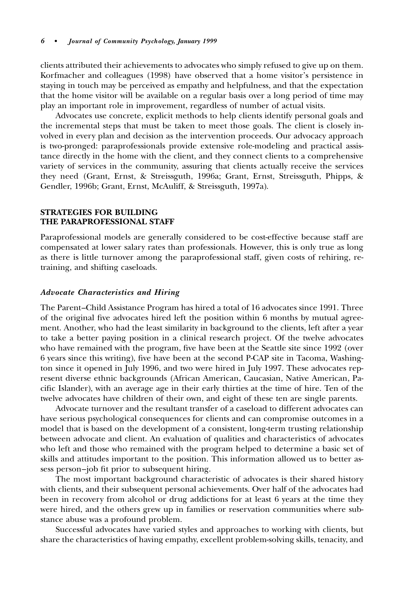#### *6 • Journal of Community Psychology, January 1999*

clients attributed their achievements to advocates who simply refused to give up on them. Korfmacher and colleagues (1998) have observed that a home visitor's persistence in staying in touch may be perceived as empathy and helpfulness, and that the expectation that the home visitor will be available on a regular basis over a long period of time may play an important role in improvement, regardless of number of actual visits.

Advocates use concrete, explicit methods to help clients identify personal goals and the incremental steps that must be taken to meet those goals. The client is closely involved in every plan and decision as the intervention proceeds. Our advocacy approach is two-pronged: paraprofessionals provide extensive role-modeling and practical assistance directly in the home with the client, and they connect clients to a comprehensive variety of services in the community, assuring that clients actually receive the services they need (Grant, Ernst, & Streissguth, 1996a; Grant, Ernst, Streissguth, Phipps, & Gendler, 1996b; Grant, Ernst, McAuliff, & Streissguth, 1997a).

### **STRATEGIES FOR BUILDING THE PARAPROFESSIONAL STAFF**

Paraprofessional models are generally considered to be cost-effective because staff are compensated at lower salary rates than professionals. However, this is only true as long as there is little turnover among the paraprofessional staff, given costs of rehiring, retraining, and shifting caseloads.

#### *Advocate Characteristics and Hiring*

The Parent–Child Assistance Program has hired a total of 16 advocates since 1991. Three of the original five advocates hired left the position within 6 months by mutual agreement. Another, who had the least similarity in background to the clients, left after a year to take a better paying position in a clinical research project. Of the twelve advocates who have remained with the program, five have been at the Seattle site since 1992 (over 6 years since this writing), five have been at the second P-CAP site in Tacoma, Washington since it opened in July 1996, and two were hired in July 1997. These advocates represent diverse ethnic backgrounds (African American, Caucasian, Native American, Pacific Islander), with an average age in their early thirties at the time of hire. Ten of the twelve advocates have children of their own, and eight of these ten are single parents.

Advocate turnover and the resultant transfer of a caseload to different advocates can have serious psychological consequences for clients and can compromise outcomes in a model that is based on the development of a consistent, long-term trusting relationship between advocate and client. An evaluation of qualities and characteristics of advocates who left and those who remained with the program helped to determine a basic set of skills and attitudes important to the position. This information allowed us to better assess person–job fit prior to subsequent hiring.

The most important background characteristic of advocates is their shared history with clients, and their subsequent personal achievements. Over half of the advocates had been in recovery from alcohol or drug addictions for at least 6 years at the time they were hired, and the others grew up in families or reservation communities where substance abuse was a profound problem.

Successful advocates have varied styles and approaches to working with clients, but share the characteristics of having empathy, excellent problem-solving skills, tenacity, and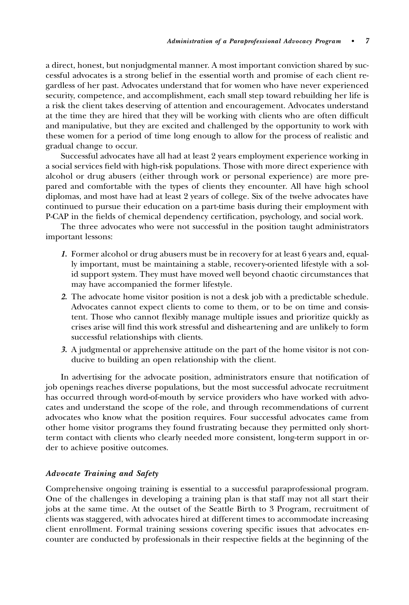a direct, honest, but nonjudgmental manner. A most important conviction shared by successful advocates is a strong belief in the essential worth and promise of each client regardless of her past. Advocates understand that for women who have never experienced security, competence, and accomplishment, each small step toward rebuilding her life is a risk the client takes deserving of attention and encouragement. Advocates understand at the time they are hired that they will be working with clients who are often difficult and manipulative, but they are excited and challenged by the opportunity to work with these women for a period of time long enough to allow for the process of realistic and gradual change to occur.

Successful advocates have all had at least 2 years employment experience working in a social services field with high-risk populations. Those with more direct experience with alcohol or drug abusers (either through work or personal experience) are more prepared and comfortable with the types of clients they encounter. All have high school diplomas, and most have had at least 2 years of college. Six of the twelve advocates have continued to pursue their education on a part-time basis during their employment with P-CAP in the fields of chemical dependency certification, psychology, and social work.

The three advocates who were not successful in the position taught administrators important lessons:

- *1.* Former alcohol or drug abusers must be in recovery for at least 6 years and, equally important, must be maintaining a stable, recovery-oriented lifestyle with a solid support system. They must have moved well beyond chaotic circumstances that may have accompanied the former lifestyle.
- *2.* The advocate home visitor position is not a desk job with a predictable schedule. Advocates cannot expect clients to come to them, or to be on time and consistent. Those who cannot flexibly manage multiple issues and prioritize quickly as crises arise will find this work stressful and disheartening and are unlikely to form successful relationships with clients.
- *3.* A judgmental or apprehensive attitude on the part of the home visitor is not conducive to building an open relationship with the client.

In advertising for the advocate position, administrators ensure that notification of job openings reaches diverse populations, but the most successful advocate recruitment has occurred through word-of-mouth by service providers who have worked with advocates and understand the scope of the role, and through recommendations of current advocates who know what the position requires. Four successful advocates came from other home visitor programs they found frustrating because they permitted only shortterm contact with clients who clearly needed more consistent, long-term support in order to achieve positive outcomes.

## *Advocate Training and Safety*

Comprehensive ongoing training is essential to a successful paraprofessional program. One of the challenges in developing a training plan is that staff may not all start their jobs at the same time. At the outset of the Seattle Birth to 3 Program, recruitment of clients was staggered, with advocates hired at different times to accommodate increasing client enrollment. Formal training sessions covering specific issues that advocates encounter are conducted by professionals in their respective fields at the beginning of the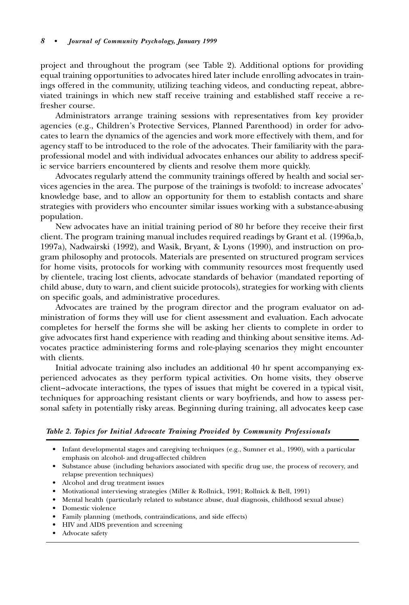#### *8 • Journal of Community Psychology, January 1999*

project and throughout the program (see Table 2). Additional options for providing equal training opportunities to advocates hired later include enrolling advocates in trainings offered in the community, utilizing teaching videos, and conducting repeat, abbreviated trainings in which new staff receive training and established staff receive a refresher course.

Administrators arrange training sessions with representatives from key provider agencies (e.g., Children's Protective Services, Planned Parenthood) in order for advocates to learn the dynamics of the agencies and work more effectively with them, and for agency staff to be introduced to the role of the advocates. Their familiarity with the paraprofessional model and with individual advocates enhances our ability to address specific service barriers encountered by clients and resolve them more quickly.

Advocates regularly attend the community trainings offered by health and social services agencies in the area. The purpose of the trainings is twofold: to increase advocates' knowledge base, and to allow an opportunity for them to establish contacts and share strategies with providers who encounter similar issues working with a substance-abusing population.

New advocates have an initial training period of 80 hr before they receive their first client. The program training manual includes required readings by Grant et al. (1996a,b, 1997a), Nadwairski (1992), and Wasik, Bryant, & Lyons (1990), and instruction on program philosophy and protocols. Materials are presented on structured program services for home visits, protocols for working with community resources most frequently used by clientele, tracing lost clients, advocate standards of behavior (mandated reporting of child abuse, duty to warn, and client suicide protocols), strategies for working with clients on specific goals, and administrative procedures.

Advocates are trained by the program director and the program evaluator on administration of forms they will use for client assessment and evaluation. Each advocate completes for herself the forms she will be asking her clients to complete in order to give advocates first hand experience with reading and thinking about sensitive items. Advocates practice administering forms and role-playing scenarios they might encounter with clients.

Initial advocate training also includes an additional 40 hr spent accompanying experienced advocates as they perform typical activities. On home visits, they observe client–advocate interactions, the types of issues that might be covered in a typical visit, techniques for approaching resistant clients or wary boyfriends, and how to assess personal safety in potentially risky areas. Beginning during training, all advocates keep case

## *Table 2. Topics for Initial Advocate Training Provided by Community Professionals*

- Infant developmental stages and caregiving techniques (e.g., Sumner et al., 1990), with a particular emphasis on alcohol- and drug-affected children
- Substance abuse (including behaviors associated with specific drug use, the process of recovery, and relapse prevention techniques)
- Alcohol and drug treatment issues
- Motivational interviewing strategies (Miller & Rollnick, 1991; Rollnick & Bell, 1991)
- Mental health (particularly related to substance abuse, dual diagnosis, childhood sexual abuse)
- Domestic violence
- Family planning (methods, contraindications, and side effects)
- HIV and AIDS prevention and screening
- Advocate safety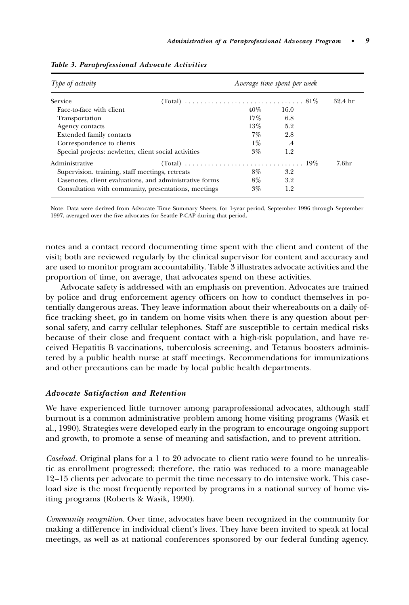| Type of activity                                        | Average time spent per week |        |      |                    |
|---------------------------------------------------------|-----------------------------|--------|------|--------------------|
| Service                                                 |                             |        |      | 32.4 <sub>hr</sub> |
| Face-to-face with client                                |                             | $40\%$ | 16.0 |                    |
| Transportation                                          |                             | 17%    | 6.8  |                    |
| Agency contacts                                         |                             | 13%    | 5.2  |                    |
| <b>Extended family contacts</b>                         |                             | 7%     | 2.8  |                    |
| Correspondence to clients                               |                             | $1\%$  | .4   |                    |
| Special projects: newletter, client social activities   |                             | $3\%$  | 1.2  |                    |
| Administrative                                          |                             |        |      | 7.6 <sub>hr</sub>  |
| Supervision. training, staff meetings, retreats         |                             | 8%     | 3.2  |                    |
| Casenotes, client evaluations, and administrative forms |                             | 8%     | 3.2  |                    |
| Consultation with community, presentations, meetings    |                             | $3\%$  | 1.2  |                    |

*Table 3. Paraprofessional Advocate Activities*

Note: Data were derived from Advocate Time Summary Sheets, for 1-year period, September 1996 through September 1997, averaged over the five advocates for Seattle P-CAP during that period.

notes and a contact record documenting time spent with the client and content of the visit; both are reviewed regularly by the clinical supervisor for content and accuracy and are used to monitor program accountability. Table 3 illustrates advocate activities and the proportion of time, on average, that advocates spend on these activities.

Advocate safety is addressed with an emphasis on prevention. Advocates are trained by police and drug enforcement agency officers on how to conduct themselves in potentially dangerous areas. They leave information about their whereabouts on a daily office tracking sheet, go in tandem on home visits when there is any question about personal safety, and carry cellular telephones. Staff are susceptible to certain medical risks because of their close and frequent contact with a high-risk population, and have received Hepatitis B vaccinations, tuberculosis screening, and Tetanus boosters administered by a public health nurse at staff meetings. Recommendations for immunizations and other precautions can be made by local public health departments.

## *Advocate Satisfaction and Retention*

We have experienced little turnover among paraprofessional advocates, although staff burnout is a common administrative problem among home visiting programs (Wasik et al., 1990). Strategies were developed early in the program to encourage ongoing support and growth, to promote a sense of meaning and satisfaction, and to prevent attrition.

*Caseload.* Original plans for a 1 to 20 advocate to client ratio were found to be unrealistic as enrollment progressed; therefore, the ratio was reduced to a more manageable 12–15 clients per advocate to permit the time necessary to do intensive work. This caseload size is the most frequently reported by programs in a national survey of home visiting programs (Roberts & Wasik, 1990).

*Community recognition.* Over time, advocates have been recognized in the community for making a difference in individual client's lives. They have been invited to speak at local meetings, as well as at national conferences sponsored by our federal funding agency.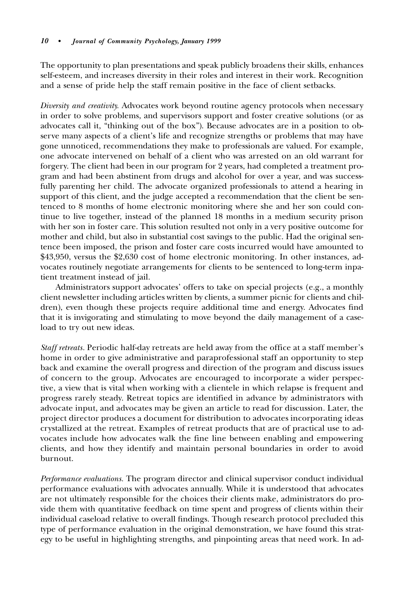The opportunity to plan presentations and speak publicly broadens their skills, enhances self-esteem, and increases diversity in their roles and interest in their work. Recognition and a sense of pride help the staff remain positive in the face of client setbacks.

*Diversity and creativity.* Advocates work beyond routine agency protocols when necessary in order to solve problems, and supervisors support and foster creative solutions (or as advocates call it, "thinking out of the box"). Because advocates are in a position to observe many aspects of a client's life and recognize strengths or problems that may have gone unnoticed, recommendations they make to professionals are valued. For example, one advocate intervened on behalf of a client who was arrested on an old warrant for forgery. The client had been in our program for 2 years, had completed a treatment program and had been abstinent from drugs and alcohol for over a year, and was successfully parenting her child. The advocate organized professionals to attend a hearing in support of this client, and the judge accepted a recommendation that the client be sentenced to 8 months of home electronic monitoring where she and her son could continue to live together, instead of the planned 18 months in a medium security prison with her son in foster care. This solution resulted not only in a very positive outcome for mother and child, but also in substantial cost savings to the public. Had the original sentence been imposed, the prison and foster care costs incurred would have amounted to \$43,950, versus the \$2,630 cost of home electronic monitoring. In other instances, advocates routinely negotiate arrangements for clients to be sentenced to long-term inpatient treatment instead of jail.

Administrators support advocates' offers to take on special projects (e.g., a monthly client newsletter including articles written by clients, a summer picnic for clients and children), even though these projects require additional time and energy. Advocates find that it is invigorating and stimulating to move beyond the daily management of a caseload to try out new ideas.

*Staff retreats.* Periodic half-day retreats are held away from the office at a staff member's home in order to give administrative and paraprofessional staff an opportunity to step back and examine the overall progress and direction of the program and discuss issues of concern to the group. Advocates are encouraged to incorporate a wider perspective, a view that is vital when working with a clientele in which relapse is frequent and progress rarely steady. Retreat topics are identified in advance by administrators with advocate input, and advocates may be given an article to read for discussion. Later, the project director produces a document for distribution to advocates incorporating ideas crystallized at the retreat. Examples of retreat products that are of practical use to advocates include how advocates walk the fine line between enabling and empowering clients, and how they identify and maintain personal boundaries in order to avoid burnout.

*Performance evaluations.* The program director and clinical supervisor conduct individual performance evaluations with advocates annually. While it is understood that advocates are not ultimately responsible for the choices their clients make, administrators do provide them with quantitative feedback on time spent and progress of clients within their individual caseload relative to overall findings. Though research protocol precluded this type of performance evaluation in the original demonstration, we have found this strategy to be useful in highlighting strengths, and pinpointing areas that need work. In ad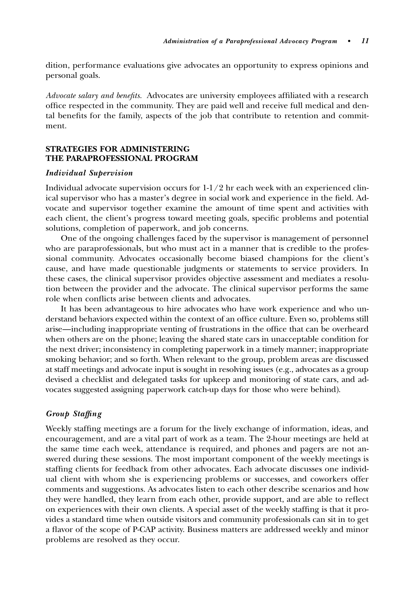dition, performance evaluations give advocates an opportunity to express opinions and personal goals.

*Advocate salary and benefits.* Advocates are university employees affiliated with a research office respected in the community. They are paid well and receive full medical and dental benefits for the family, aspects of the job that contribute to retention and commitment.

## **STRATEGIES FOR ADMINISTERING THE PARAPROFESSIONAL PROGRAM**

## *Individual Supervision*

Individual advocate supervision occurs for  $1-1/2$  hr each week with an experienced clinical supervisor who has a master's degree in social work and experience in the field. Advocate and supervisor together examine the amount of time spent and activities with each client, the client's progress toward meeting goals, specific problems and potential solutions, completion of paperwork, and job concerns.

One of the ongoing challenges faced by the supervisor is management of personnel who are paraprofessionals, but who must act in a manner that is credible to the professional community. Advocates occasionally become biased champions for the client's cause, and have made questionable judgments or statements to service providers. In these cases, the clinical supervisor provides objective assessment and mediates a resolution between the provider and the advocate. The clinical supervisor performs the same role when conflicts arise between clients and advocates.

It has been advantageous to hire advocates who have work experience and who understand behaviors expected within the context of an office culture. Even so, problems still arise—including inappropriate venting of frustrations in the office that can be overheard when others are on the phone; leaving the shared state cars in unacceptable condition for the next driver; inconsistency in completing paperwork in a timely manner; inappropriate smoking behavior; and so forth. When relevant to the group, problem areas are discussed at staff meetings and advocate input is sought in resolving issues (e.g., advocates as a group devised a checklist and delegated tasks for upkeep and monitoring of state cars, and advocates suggested assigning paperwork catch-up days for those who were behind).

# *Group Staffing*

Weekly staffing meetings are a forum for the lively exchange of information, ideas, and encouragement, and are a vital part of work as a team. The 2-hour meetings are held at the same time each week, attendance is required, and phones and pagers are not answered during these sessions. The most important component of the weekly meetings is staffing clients for feedback from other advocates. Each advocate discusses one individual client with whom she is experiencing problems or successes, and coworkers offer comments and suggestions. As advocates listen to each other describe scenarios and how they were handled, they learn from each other, provide support, and are able to reflect on experiences with their own clients. A special asset of the weekly staffing is that it provides a standard time when outside visitors and community professionals can sit in to get a flavor of the scope of P-CAP activity. Business matters are addressed weekly and minor problems are resolved as they occur.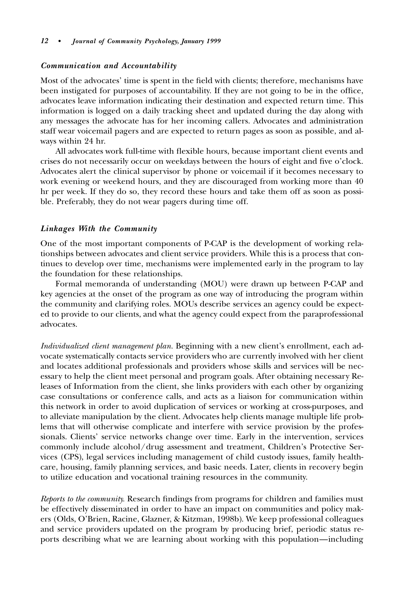## *Communication and Accountability*

Most of the advocates' time is spent in the field with clients; therefore, mechanisms have been instigated for purposes of accountability. If they are not going to be in the office, advocates leave information indicating their destination and expected return time. This information is logged on a daily tracking sheet and updated during the day along with any messages the advocate has for her incoming callers. Advocates and administration staff wear voicemail pagers and are expected to return pages as soon as possible, and always within 24 hr.

All advocates work full-time with flexible hours, because important client events and crises do not necessarily occur on weekdays between the hours of eight and five o'clock. Advocates alert the clinical supervisor by phone or voicemail if it becomes necessary to work evening or weekend hours, and they are discouraged from working more than 40 hr per week. If they do so, they record these hours and take them off as soon as possible. Preferably, they do not wear pagers during time off.

# *Linkages With the Community*

One of the most important components of P-CAP is the development of working relationships between advocates and client service providers. While this is a process that continues to develop over time, mechanisms were implemented early in the program to lay the foundation for these relationships.

Formal memoranda of understanding (MOU) were drawn up between P-CAP and key agencies at the onset of the program as one way of introducing the program within the community and clarifying roles. MOUs describe services an agency could be expected to provide to our clients, and what the agency could expect from the paraprofessional advocates.

*Individualized client management plan.* Beginning with a new client's enrollment, each advocate systematically contacts service providers who are currently involved with her client and locates additional professionals and providers whose skills and services will be necessary to help the client meet personal and program goals. After obtaining necessary Releases of Information from the client, she links providers with each other by organizing case consultations or conference calls, and acts as a liaison for communication within this network in order to avoid duplication of services or working at cross-purposes, and to alleviate manipulation by the client. Advocates help clients manage multiple life problems that will otherwise complicate and interfere with service provision by the professionals. Clients' service networks change over time. Early in the intervention, services commonly include alcohol/drug assessment and treatment, Children's Protective Services (CPS), legal services including management of child custody issues, family healthcare, housing, family planning services, and basic needs. Later, clients in recovery begin to utilize education and vocational training resources in the community.

*Reports to the community.* Research findings from programs for children and families must be effectively disseminated in order to have an impact on communities and policy makers (Olds, O'Brien, Racine, Glazner, & Kitzman, 1998b). We keep professional colleagues and service providers updated on the program by producing brief, periodic status reports describing what we are learning about working with this population—including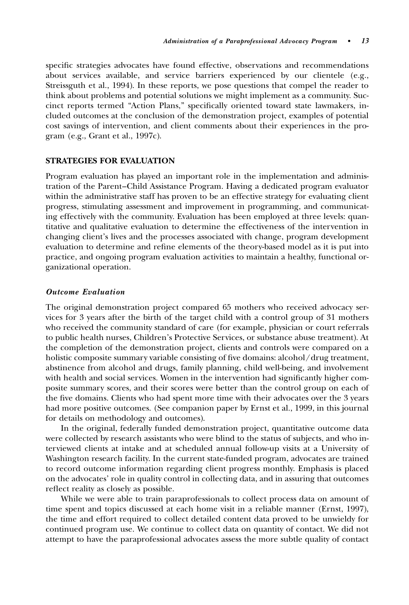specific strategies advocates have found effective, observations and recommendations about services available, and service barriers experienced by our clientele (e.g., Streissguth et al., 1994). In these reports, we pose questions that compel the reader to think about problems and potential solutions we might implement as a community. Succinct reports termed "Action Plans," specifically oriented toward state lawmakers, included outcomes at the conclusion of the demonstration project, examples of potential cost savings of intervention, and client comments about their experiences in the program (e.g., Grant et al., 1997c).

## **STRATEGIES FOR EVALUATION**

Program evaluation has played an important role in the implementation and administration of the Parent–Child Assistance Program. Having a dedicated program evaluator within the administrative staff has proven to be an effective strategy for evaluating client progress, stimulating assessment and improvement in programming, and communicating effectively with the community. Evaluation has been employed at three levels: quantitative and qualitative evaluation to determine the effectiveness of the intervention in changing client's lives and the processes associated with change, program development evaluation to determine and refine elements of the theory-based model as it is put into practice, and ongoing program evaluation activities to maintain a healthy, functional organizational operation.

## *Outcome Evaluation*

The original demonstration project compared 65 mothers who received advocacy services for 3 years after the birth of the target child with a control group of 31 mothers who received the community standard of care (for example, physician or court referrals to public health nurses, Children's Protective Services, or substance abuse treatment). At the completion of the demonstration project, clients and controls were compared on a holistic composite summary variable consisting of five domains: alcohol/drug treatment, abstinence from alcohol and drugs, family planning, child well-being, and involvement with health and social services. Women in the intervention had significantly higher composite summary scores, and their scores were better than the control group on each of the five domains. Clients who had spent more time with their advocates over the 3 years had more positive outcomes. (See companion paper by Ernst et al., 1999, in this journal for details on methodology and outcomes).

In the original, federally funded demonstration project, quantitative outcome data were collected by research assistants who were blind to the status of subjects, and who interviewed clients at intake and at scheduled annual follow-up visits at a University of Washington research facility. In the current state-funded program, advocates are trained to record outcome information regarding client progress monthly. Emphasis is placed on the advocates' role in quality control in collecting data, and in assuring that outcomes reflect reality as closely as possible.

While we were able to train paraprofessionals to collect process data on amount of time spent and topics discussed at each home visit in a reliable manner (Ernst, 1997), the time and effort required to collect detailed content data proved to be unwieldy for continued program use. We continue to collect data on quantity of contact. We did not attempt to have the paraprofessional advocates assess the more subtle quality of contact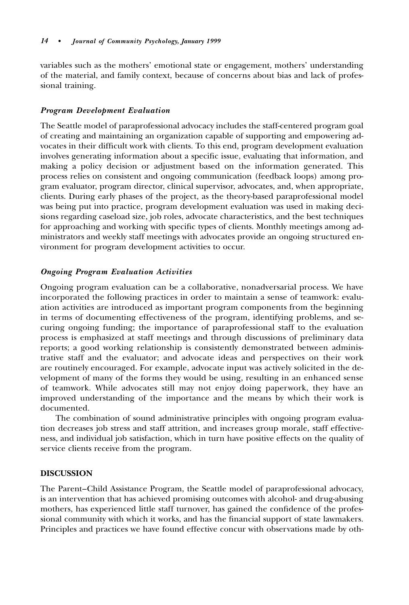variables such as the mothers' emotional state or engagement, mothers' understanding of the material, and family context, because of concerns about bias and lack of professional training.

# *Program Development Evaluation*

The Seattle model of paraprofessional advocacy includes the staff-centered program goal of creating and maintaining an organization capable of supporting and empowering advocates in their difficult work with clients. To this end, program development evaluation involves generating information about a specific issue, evaluating that information, and making a policy decision or adjustment based on the information generated. This process relies on consistent and ongoing communication (feedback loops) among program evaluator, program director, clinical supervisor, advocates, and, when appropriate, clients. During early phases of the project, as the theory-based paraprofessional model was being put into practice, program development evaluation was used in making decisions regarding caseload size, job roles, advocate characteristics, and the best techniques for approaching and working with specific types of clients. Monthly meetings among administrators and weekly staff meetings with advocates provide an ongoing structured environment for program development activities to occur.

# *Ongoing Program Evaluation Activities*

Ongoing program evaluation can be a collaborative, nonadversarial process. We have incorporated the following practices in order to maintain a sense of teamwork: evaluation activities are introduced as important program components from the beginning in terms of documenting effectiveness of the program, identifying problems, and securing ongoing funding; the importance of paraprofessional staff to the evaluation process is emphasized at staff meetings and through discussions of preliminary data reports; a good working relationship is consistently demonstrated between administrative staff and the evaluator; and advocate ideas and perspectives on their work are routinely encouraged. For example, advocate input was actively solicited in the development of many of the forms they would be using, resulting in an enhanced sense of teamwork. While advocates still may not enjoy doing paperwork, they have an improved understanding of the importance and the means by which their work is documented.

The combination of sound administrative principles with ongoing program evaluation decreases job stress and staff attrition, and increases group morale, staff effectiveness, and individual job satisfaction, which in turn have positive effects on the quality of service clients receive from the program.

# **DISCUSSION**

The Parent–Child Assistance Program, the Seattle model of paraprofessional advocacy, is an intervention that has achieved promising outcomes with alcohol- and drug-abusing mothers, has experienced little staff turnover, has gained the confidence of the professional community with which it works, and has the financial support of state lawmakers. Principles and practices we have found effective concur with observations made by oth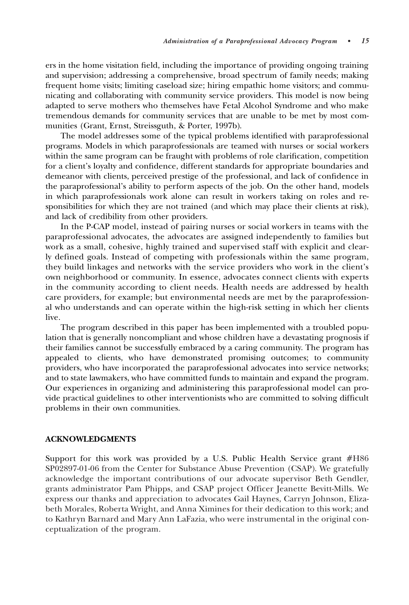ers in the home visitation field, including the importance of providing ongoing training and supervision; addressing a comprehensive, broad spectrum of family needs; making frequent home visits; limiting caseload size; hiring empathic home visitors; and communicating and collaborating with community service providers. This model is now being adapted to serve mothers who themselves have Fetal Alcohol Syndrome and who make tremendous demands for community services that are unable to be met by most communities (Grant, Ernst, Streissguth, & Porter, 1997b).

The model addresses some of the typical problems identified with paraprofessional programs. Models in which paraprofessionals are teamed with nurses or social workers within the same program can be fraught with problems of role clarification, competition for a client's loyalty and confidence, different standards for appropriate boundaries and demeanor with clients, perceived prestige of the professional, and lack of confidence in the paraprofessional's ability to perform aspects of the job. On the other hand, models in which paraprofessionals work alone can result in workers taking on roles and responsibilities for which they are not trained (and which may place their clients at risk), and lack of credibility from other providers.

In the P-CAP model, instead of pairing nurses or social workers in teams with the paraprofessional advocates, the advocates are assigned independently to families but work as a small, cohesive, highly trained and supervised staff with explicit and clearly defined goals. Instead of competing with professionals within the same program, they build linkages and networks with the service providers who work in the client's own neighborhood or community. In essence, advocates connect clients with experts in the community according to client needs. Health needs are addressed by health care providers, for example; but environmental needs are met by the paraprofessional who understands and can operate within the high-risk setting in which her clients live.

The program described in this paper has been implemented with a troubled population that is generally noncompliant and whose children have a devastating prognosis if their families cannot be successfully embraced by a caring community. The program has appealed to clients, who have demonstrated promising outcomes; to community providers, who have incorporated the paraprofessional advocates into service networks; and to state lawmakers, who have committed funds to maintain and expand the program. Our experiences in organizing and administering this paraprofessional model can provide practical guidelines to other interventionists who are committed to solving difficult problems in their own communities.

#### **ACKNOWLEDGMENTS**

Support for this work was provided by a U.S. Public Health Service grant  $#H86$ SP02897-01-06 from the Center for Substance Abuse Prevention (CSAP). We gratefully acknowledge the important contributions of our advocate supervisor Beth Gendler, grants administrator Pam Phipps, and CSAP project Officer Jeanette Bevitt-Mills. We express our thanks and appreciation to advocates Gail Haynes, Carryn Johnson, Elizabeth Morales, Roberta Wright, and Anna Ximines for their dedication to this work; and to Kathryn Barnard and Mary Ann LaFazia, who were instrumental in the original conceptualization of the program.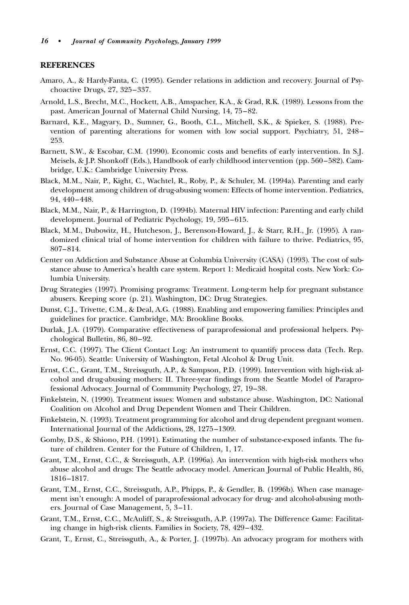### **REFERENCES**

- Amaro, A., & Hardy-Fanta, C. (1995). Gender relations in addiction and recovery. Journal of Psychoactive Drugs, 27, 325–337.
- Arnold, L.S., Brecht, M.C., Hockett, A.B., Amspacher, K.A., & Grad, R.K. (1989). Lessons from the past. American Journal of Maternal Child Nursing, 14, 75–82.
- Barnard, K.E., Magyary, D., Sumner, G., Booth, C.L., Mitchell, S.K., & Spieker, S. (1988). Prevention of parenting alterations for women with low social support. Psychiatry, 51, 248– 253.
- Barnett, S.W., & Escobar, C.M. (1990). Economic costs and benefits of early intervention. In S.J. Meisels, & J.P. Shonkoff (Eds.), Handbook of early childhood intervention (pp. 560–582). Cambridge, U.K.: Cambridge University Press.
- Black, M.M., Nair, P., Kight, C., Wachtel, R., Roby, P., & Schuler, M. (1994a). Parenting and early development among children of drug-abusing women: Effects of home intervention. Pediatrics, 94, 440–448.
- Black, M.M., Nair, P., & Harrington, D. (1994b). Maternal HIV infection: Parenting and early child development. Journal of Pediatric Psychology, 19, 595–615.
- Black, M.M., Dubowitz, H., Hutcheson, J., Berenson-Howard, J., & Starr, R.H., Jr. (1995). A randomized clinical trial of home intervention for children with failure to thrive. Pediatrics, 95, 807–814.
- Center on Addiction and Substance Abuse at Columbia University (CASA) (1993). The cost of substance abuse to America's health care system. Report 1: Medicaid hospital costs. New York: Columbia University.
- Drug Strategies (1997). Promising programs: Treatment. Long-term help for pregnant substance abusers. Keeping score (p. 21). Washington, DC: Drug Strategies.
- Dunst, C.J., Trivette, C.M., & Deal, A.G. (1988). Enabling and empowering families: Principles and guidelines for practice. Cambridge, MA: Brookline Books.
- Durlak, J.A. (1979). Comparative effectiveness of paraprofessional and professional helpers. Psychological Bulletin, 86, 80–92.
- Ernst, C.C. (1997). The Client Contact Log: An instrument to quantify process data (Tech. Rep. No. 96-05). Seattle: University of Washington, Fetal Alcohol & Drug Unit.
- Ernst, C.C., Grant, T.M., Streissguth, A.P., & Sampson, P.D. (1999). Intervention with high-risk alcohol and drug-abusing mothers: II. Three-year findings from the Seattle Model of Paraprofessional Advocacy. Journal of Community Psychology, 27, 19–38.
- Finkelstein, N. (1990). Treatment issues: Women and substance abuse. Washington, DC: National Coalition on Alcohol and Drug Dependent Women and Their Children.
- Finkelstein, N. (1993). Treatment programming for alcohol and drug dependent pregnant women. International Journal of the Addictions, 28, 1275–1309.
- Gomby, D.S., & Shiono, P.H. (1991). Estimating the number of substance-exposed infants. The future of children. Center for the Future of Children, 1, 17.
- Grant, T.M., Ernst, C.C., & Streissguth, A.P. (1996a). An intervention with high-risk mothers who abuse alcohol and drugs: The Seattle advocacy model. American Journal of Public Health, 86, 1816–1817.
- Grant, T.M., Ernst, C.C., Streissguth, A.P., Phipps, P., & Gendler, B. (1996b). When case management isn't enough: A model of paraprofessional advocacy for drug- and alcohol-abusing mothers. Journal of Case Management, 5, 3–11.
- Grant, T.M., Ernst, C.C., McAuliff, S., & Streissguth, A.P. (1997a). The Difference Game: Facilitating change in high-risk clients. Families in Society, 78, 429–432.
- Grant, T., Ernst, C., Streissguth, A., & Porter, J. (1997b). An advocacy program for mothers with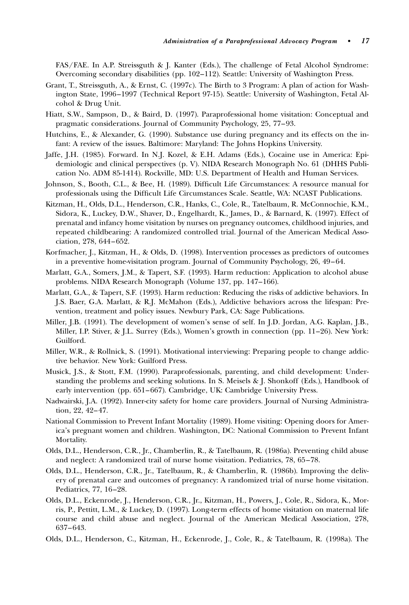FAS/FAE. In A.P. Streissguth & J. Kanter (Eds.), The challenge of Fetal Alcohol Syndrome: Overcoming secondary disabilities (pp. 102–112). Seattle: University of Washington Press.

- Grant, T., Streissguth, A., & Ernst, C. (1997c). The Birth to 3 Program: A plan of action for Washington State, 1996–1997 (Technical Report 97-15). Seattle: University of Washington, Fetal Alcohol & Drug Unit.
- Hiatt, S.W., Sampson, D., & Baird, D. (1997). Paraprofessional home visitation: Conceptual and pragmatic considerations. Journal of Community Psychology, 25, 77–93.
- Hutchins, E., & Alexander, G. (1990). Substance use during pregnancy and its effects on the infant: A review of the issues. Baltimore: Maryland: The Johns Hopkins University.
- Jaffe, J.H. (1985). Forward. In N.J. Kozel, & E.H. Adams (Eds.), Cocaine use in America: Epidemiologic and clinical perspectives (p. V). NIDA Research Monograph No. 61 (DHHS Publication No. ADM 85-1414). Rockville, MD: U.S. Department of Health and Human Services.
- Johnson, S., Booth, C.L., & Bee, H. (1989). Difficult Life Circumstances: A resource manual for professionals using the Difficult Life Circumstances Scale. Seattle, WA: NCAST Publications.
- Kitzman, H., Olds, D.L., Henderson, C.R., Hanks, C., Cole, R., Tatelbaum, R. McConnochie, K.M., Sidora, K., Luckey, D.W., Shaver, D., Engelhardt, K., James, D., & Barnard, K. (1997). Effect of prenatal and infancy home visitation by nurses on pregnancy outcomes, childhood injuries, and repeated childbearing: A randomized controlled trial. Journal of the American Medical Association, 278, 644–652.
- Korfmacher, J., Kitzman, H., & Olds, D. (1998). Intervention processes as predictors of outcomes in a preventive home-visitation program. Journal of Community Psychology, 26, 49–64.
- Marlatt, G.A., Somers, J.M., & Tapert, S.F. (1993). Harm reduction: Application to alcohol abuse problems. NIDA Research Monograph (Volume 137, pp. 147–166).
- Marlatt, G.A., & Tapert, S.F. (1993). Harm reduction: Reducing the risks of addictive behaviors. In J.S. Baer, G.A. Marlatt, & R.J. McMahon (Eds.), Addictive behaviors across the lifespan: Prevention, treatment and policy issues. Newbury Park, CA: Sage Publications.
- Miller, J.B. (1991). The development of women's sense of self. In J.D. Jordan, A.G. Kaplan, J.B., Miller, I.P. Stiver, & J.L. Surrey (Eds.), Women's growth in connection (pp. 11–26). New York: Guilford.
- Miller, W.R., & Rollnick, S. (1991). Motivational interviewing: Preparing people to change addictive behavior. New York: Guilford Press.
- Musick, J.S., & Stott, F.M. (1990). Paraprofessionals, parenting, and child development: Understanding the problems and seeking solutions. In S. Meisels & J. Shonkoff (Eds.), Handbook of early intervention (pp. 651–667). Cambridge, UK: Cambridge University Press.
- Nadwairski, J.A. (1992). Inner-city safety for home care providers. Journal of Nursing Administration, 22, 42–47.
- National Commission to Prevent Infant Mortality (1989). Home visiting: Opening doors for America's pregnant women and children. Washington, DC: National Commission to Prevent Infant Mortality.
- Olds, D.L., Henderson, C.R., Jr., Chamberlin, R., & Tatelbaum, R. (1986a). Preventing child abuse and neglect: A randomized trail of nurse home visitation. Pediatrics, 78, 65–78.
- Olds, D.L., Henderson, C.R., Jr., Tatelbaum, R., & Chamberlin, R. (1986b). Improving the delivery of prenatal care and outcomes of pregnancy: A randomized trial of nurse home visitation. Pediatrics, 77, 16–28.
- Olds, D.L., Eckenrode, J., Henderson, C.R., Jr., Kitzman, H., Powers, J., Cole, R., Sidora, K., Morris, P., Pettitt, L.M., & Luckey, D. (1997). Long-term effects of home visitation on maternal life course and child abuse and neglect. Journal of the American Medical Association, 278, 637–643.
- Olds, D.L., Henderson, C., Kitzman, H., Eckenrode, J., Cole, R., & Tatelbaum, R. (1998a). The